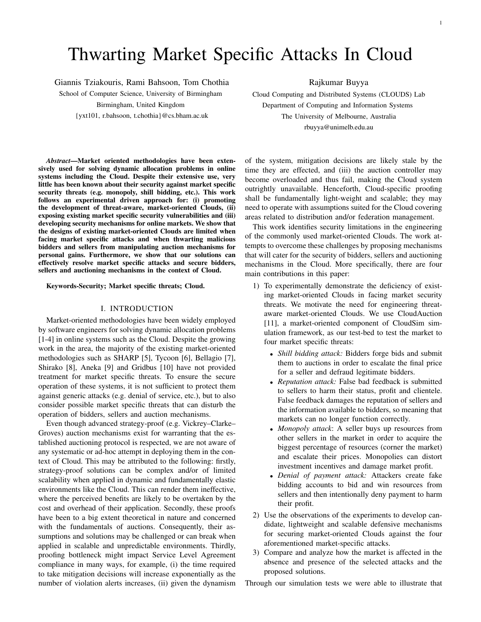# Thwarting Market Specific Attacks In Cloud

Giannis Tziakouris, Rami Bahsoon, Tom Chothia

School of Computer Science, University of Birmingham Birmingham, United Kingdom {yxt101, r.bahsoon, t.chothia}@cs.bham.ac.uk

Rajkumar Buyya

Cloud Computing and Distributed Systems (CLOUDS) Lab Department of Computing and Information Systems The University of Melbourne, Australia rbuyya@unimelb.edu.au

*Abstract*—Market oriented methodologies have been extensively used for solving dynamic allocation problems in online systems including the Cloud. Despite their extensive use, very little has been known about their security against market specific security threats (e.g. monopoly, shill bidding, etc.). This work follows an experimental driven approach for: (i) promoting the development of threat-aware, market-oriented Clouds, (ii) exposing existing market specific security vulnerabilities and (iii) developing security mechanisms for online markets. We show that the designs of existing market-oriented Clouds are limited when facing market specific attacks and when thwarting malicious bidders and sellers from manipulating auction mechanisms for personal gains. Furthermore, we show that our solutions can effectively resolve market specific attacks and secure bidders, sellers and auctioning mechanisms in the context of Cloud.

Keywords-Security; Market specific threats; Cloud.

#### I. INTRODUCTION

Market-oriented methodologies have been widely employed by software engineers for solving dynamic allocation problems [1-4] in online systems such as the Cloud. Despite the growing work in the area, the majority of the existing market-oriented methodologies such as SHARP [5], Tycoon [6], Bellagio [7], Shirako [8], Aneka [9] and Gridbus [10] have not provided treatment for market specific threats. To ensure the secure operation of these systems, it is not sufficient to protect them against generic attacks (e.g. denial of service, etc.), but to also consider possible market specific threats that can disturb the operation of bidders, sellers and auction mechanisms.

Even though advanced strategy-proof (e.g. Vickrey–Clarke– Groves) auction mechanisms exist for warranting that the established auctioning protocol is respected, we are not aware of any systematic or ad-hoc attempt in deploying them in the context of Cloud. This may be attributed to the following: firstly, strategy-proof solutions can be complex and/or of limited scalability when applied in dynamic and fundamentally elastic environments like the Cloud. This can render them ineffective, where the perceived benefits are likely to be overtaken by the cost and overhead of their application. Secondly, these proofs have been to a big extent theoretical in nature and concerned with the fundamentals of auctions. Consequently, their assumptions and solutions may be challenged or can break when applied in scalable and unpredictable environments. Thirdly, proofing bottleneck might impact Service Level Agreement compliance in many ways, for example, (i) the time required to take mitigation decisions will increase exponentially as the number of violation alerts increases, (ii) given the dynamism of the system, mitigation decisions are likely stale by the time they are effected, and (iii) the auction controller may become overloaded and thus fail, making the Cloud system outrightly unavailable. Henceforth, Cloud-specific proofing shall be fundamentally light-weight and scalable; they may need to operate with assumptions suited for the Cloud covering areas related to distribution and/or federation management.

This work identifies security limitations in the engineering of the commonly used market-oriented Clouds. The work attempts to overcome these challenges by proposing mechanisms that will cater for the security of bidders, sellers and auctioning mechanisms in the Cloud. More specifically, there are four main contributions in this paper:

- 1) To experimentally demonstrate the deficiency of existing market-oriented Clouds in facing market security threats. We motivate the need for engineering threataware market-oriented Clouds. We use CloudAuction [11], a market-oriented component of CloudSim simulation framework, as our test-bed to test the market to four market specific threats:
	- *Shill bidding attack:* Bidders forge bids and submit them to auctions in order to escalate the final price for a seller and defraud legitimate bidders.
	- *Reputation attack:* False bad feedback is submitted to sellers to harm their status, profit and clientele. False feedback damages the reputation of sellers and the information available to bidders, so meaning that markets can no longer function correctly.
	- *Monopoly attack*: A seller buys up resources from other sellers in the market in order to acquire the biggest percentage of resources (corner the market) and escalate their prices. Monopolies can distort investment incentives and damage market profit.
	- *Denial of payment attack:* Attackers create fake bidding accounts to bid and win resources from sellers and then intentionally deny payment to harm their profit.
- 2) Use the observations of the experiments to develop candidate, lightweight and scalable defensive mechanisms for securing market-oriented Clouds against the four aforementioned market-specific attacks.
- 3) Compare and analyze how the market is affected in the absence and presence of the selected attacks and the proposed solutions.

Through our simulation tests we were able to illustrate that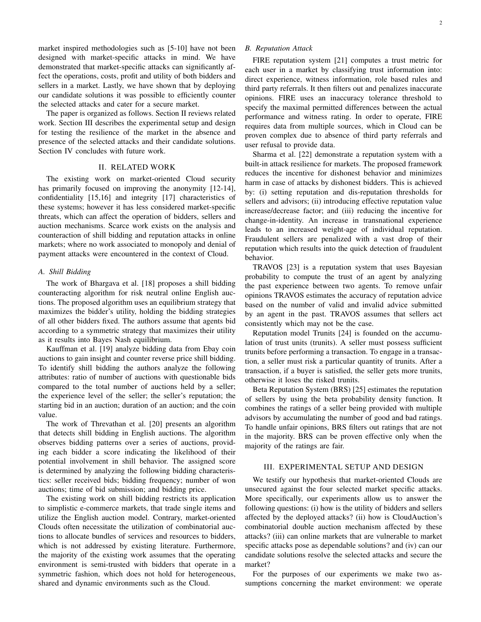market inspired methodologies such as [5-10] have not been designed with market-specific attacks in mind. We have demonstrated that market-specific attacks can significantly affect the operations, costs, profit and utility of both bidders and sellers in a market. Lastly, we have shown that by deploying our candidate solutions it was possible to efficiently counter the selected attacks and cater for a secure market.

The paper is organized as follows. Section II reviews related work. Section III describes the experimental setup and design for testing the resilience of the market in the absence and presence of the selected attacks and their candidate solutions. Section IV concludes with future work.

#### II. RELATED WORK

The existing work on market-oriented Cloud security has primarily focused on improving the anonymity [12-14], confidentiality [15,16] and integrity [17] characteristics of these systems; however it has less considered market-specific threats, which can affect the operation of bidders, sellers and auction mechanisms. Scarce work exists on the analysis and counteraction of shill bidding and reputation attacks in online markets; where no work associated to monopoly and denial of payment attacks were encountered in the context of Cloud.

## *A. Shill Bidding*

The work of Bhargava et al. [18] proposes a shill bidding counteracting algorithm for risk neutral online English auctions. The proposed algorithm uses an equilibrium strategy that maximizes the bidder's utility, holding the bidding strategies of all other bidders fixed. The authors assume that agents bid according to a symmetric strategy that maximizes their utility as it results into Bayes Nash equilibrium.

Kauffman et al. [19] analyze bidding data from Ebay coin auctions to gain insight and counter reverse price shill bidding. To identify shill bidding the authors analyze the following attributes: ratio of number of auctions with questionable bids compared to the total number of auctions held by a seller; the experience level of the seller; the seller's reputation; the starting bid in an auction; duration of an auction; and the coin value.

The work of Threvathan et al. [20] presents an algorithm that detects shill bidding in English auctions. The algorithm observes bidding patterns over a series of auctions, providing each bidder a score indicating the likelihood of their potential involvement in shill behavior. The assigned score is determined by analyzing the following bidding characteristics: seller received bids; bidding frequency; number of won auctions; time of bid submission; and bidding price.

The existing work on shill bidding restricts its application to simplistic e-commerce markets, that trade single items and utilize the English auction model. Contrary, market-oriented Clouds often necessitate the utilization of combinatorial auctions to allocate bundles of services and resources to bidders, which is not addressed by existing literature. Furthermore, the majority of the existing work assumes that the operating environment is semi-trusted with bidders that operate in a symmetric fashion, which does not hold for heterogeneous, shared and dynamic environments such as the Cloud.

## *B. Reputation Attack*

FIRE reputation system [21] computes a trust metric for each user in a market by classifying trust information into: direct experience, witness information, role based rules and third party referrals. It then filters out and penalizes inaccurate opinions. FIRE uses an inaccuracy tolerance threshold to specify the maximal permitted differences between the actual performance and witness rating. In order to operate, FIRE requires data from multiple sources, which in Cloud can be proven complex due to absence of third party referrals and user refusal to provide data.

Sharma et al. [22] demonstrate a reputation system with a built-in attack resilience for markets. The proposed framework reduces the incentive for dishonest behavior and minimizes harm in case of attacks by dishonest bidders. This is achieved by: (i) setting reputation and dis-reputation thresholds for sellers and advisors; (ii) introducing effective reputation value increase/decrease factor; and (iii) reducing the incentive for change-in-identity. An increase in transnational experience leads to an increased weight-age of individual reputation. Fraudulent sellers are penalized with a vast drop of their reputation which results into the quick detection of fraudulent behavior.

TRAVOS [23] is a reputation system that uses Bayesian probability to compute the trust of an agent by analyzing the past experience between two agents. To remove unfair opinions TRAVOS estimates the accuracy of reputation advice based on the number of valid and invalid advice submitted by an agent in the past. TRAVOS assumes that sellers act consistently which may not be the case.

Reputation model Trunits [24] is founded on the accumulation of trust units (trunits). A seller must possess sufficient trunits before performing a transaction. To engage in a transaction, a seller must risk a particular quantity of trunits. After a transaction, if a buyer is satisfied, the seller gets more trunits, otherwise it loses the risked trunits.

Beta Reputation System (BRS) [25] estimates the reputation of sellers by using the beta probability density function. It combines the ratings of a seller being provided with multiple advisors by accumulating the number of good and bad ratings. To handle unfair opinions, BRS filters out ratings that are not in the majority. BRS can be proven effective only when the majority of the ratings are fair.

## III. EXPERIMENTAL SETUP AND DESIGN

We testify our hypothesis that market-oriented Clouds are unsecured against the four selected market specific attacks. More specifically, our experiments allow us to answer the following questions: (i) how is the utility of bidders and sellers affected by the deployed attacks? (ii) how is CloudAuction's combinatorial double auction mechanism affected by these attacks? (iii) can online markets that are vulnerable to market specific attacks pose as dependable solutions? and (iv) can our candidate solutions resolve the selected attacks and secure the market?

For the purposes of our experiments we make two assumptions concerning the market environment: we operate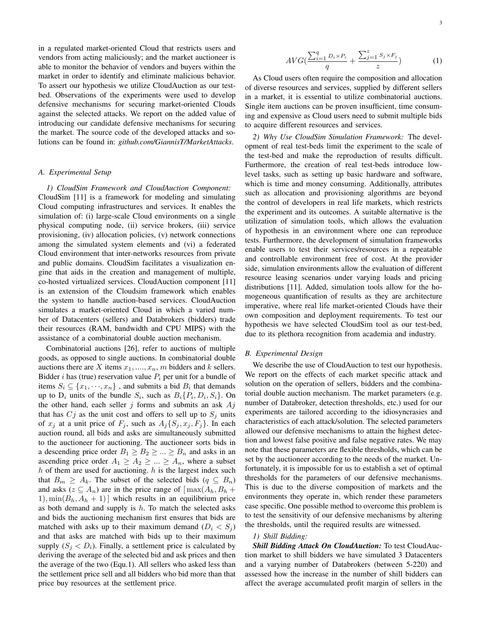in a regulated market-oriented Cloud that restricts users and vendors from acting maliciously; and the market auctioneer is able to monitor the behavior of vendors and buyers within the market in order to identify and eliminate malicious behavior. To assert our hypothesis we utilize CloudAuction as our testbed. Observations of the experiments were used to develop defensive mechanisms for securing market-oriented Clouds against the selected attacks. We report on the added value of introducing our candidate defensive mechanisms for securing the market. The source code of the developed attacks and solutions can be found in: *github.com/GiannisT/MarketAttacks*.

## *A. Experimental Setup*

*1) CloudSim Framework and CloudAuction Component:* CloudSim [11] is a framework for modeling and simulating Cloud computing infrastructures and services. It enables the simulation of: (i) large-scale Cloud environments on a single physical computing node, (ii) service brokers, (iii) service provisioning, (iv) allocation policies, (v) network connections among the simulated system elements and (vi) a federated Cloud environment that inter-networks resources from private and public domains. CloudSim facilitates a visualization engine that aids in the creation and management of multiple, co-hosted virtualized services. CloudAuction component [11] is an extension of the Cloudsim framework which enables the system to handle auction-based services. CloudAuction simulates a market-oriented Cloud in which a varied number of Datacenters (sellers) and Databrokers (bidders) trade their resources (RAM, bandwidth and CPU MIPS) with the assistance of a combinatorial double auction mechanism.

Combinatorial auctions [26], refer to auctions of multiple goods, as opposed to single auctions. In combinatorial double auctions there are X items  $x_1, \ldots, x_n$ , m bidders and k sellers. Bidder *i* has (true) reservation value  $P_i$  per unit for a bundle of items  $S_i \subseteq \{x_1, \dots, x_n\}$ , and submits a bid  $B_i$  that demands up to  $D_i$  units of the bundle  $S_i$ , such as  $B_i\{P_i, D_i, S_i\}$ . On the other hand, each seller  $j$  forms and submits an ask  $Aj$ that has  $C_j$  as the unit cost and offers to sell up to  $S_j$  units of  $x_j$  at a unit price of  $F_j$ , such as  $A_j\{S_j, x_j, F_j\}$ . In each auction round, all bids and asks are simultaneously submitted to the auctioneer for auctioning. The auctioneer sorts bids in a descending price order  $B_1 \geq B_2 \geq \ldots \geq B_n$  and asks in an ascending price order  $A_1 \geq A_2 \geq ... \geq A_n$ , where a subset  $h$  of them are used for auctioning.  $h$  is the largest index such that  $B_m \geq A_k$ . The subset of the selected bids  $(q \subseteq B_n)$ and asks ( $z \subseteq A_n$ ) are in the price range of  $[\max(A_h, B_h +$ 1),  $\min(B_h, A_h + 1)$  which results in an equilibrium price as both demand and supply is  $h$ . To match the selected asks and bids the auctioning mechanism first ensures that bids are matched with asks up to their maximum demand  $(D_i < S_j)$ and that asks are matched with bids up to their maximum supply  $(S_i < D_i)$ . Finally, a settlement price is calculated by deriving the average of the selected bid and ask prices and then the average of the two (Equ.1). All sellers who asked less than the settlement price sell and all bidders who bid more than that price buy resources at the settlement price.

$$
AVG(\frac{\sum_{i=1}^{q} D_i \times P_i}{q} + \frac{\sum_{j=1}^{z} S_j \times F_j}{z})
$$
 (1)

As Cloud users often require the composition and allocation of diverse resources and services, supplied by different sellers in a market, it is essential to utilize combinatorial auctions. Single item auctions can be proven insufficient, time consuming and expensive as Cloud users need to submit multiple bids to acquire different resources and services.

*2) Why Use CloudSim Simulation Framework:* The development of real test-beds limit the experiment to the scale of the test-bed and make the reproduction of results difficult. Furthermore, the creation of real test-beds introduce lowlevel tasks, such as setting up basic hardware and software, which is time and money consuming. Additionally, attributes such as allocation and provisioning algorithms are beyond the control of developers in real life markets, which restricts the experiment and its outcomes. A suitable alternative is the utilization of simulation tools, which allows the evaluation of hypothesis in an environment where one can reproduce tests. Furthermore, the development of simulation frameworks enable users to test their services/resources in a repeatable and controllable environment free of cost. At the provider side, simulation environments allow the evaluation of different resource leasing scenarios under varying loads and pricing distributions [11]. Added, simulation tools allow for the homogeneous quantification of results as they are architecture imperative, where real life market-oriented Clouds have their own composition and deployment requirements. To test our hypothesis we have selected CloudSim tool as our test-bed, due to its plethora recognition from academia and industry.

## *B. Experimental Design*

We describe the use of CloudAuction to test our hypothesis. We report on the effects of each market specific attack and solution on the operation of sellers, bidders and the combinatorial double auction mechanism. The market parameters (e.g. number of Databroker, detection thresholds, etc.) used for our experiments are tailored according to the idiosyncrasies and characteristics of each attack/solution. The selected parameters allowed our defensive mechanisms to attain the highest detection and lowest false positive and false negative rates. We may note that these parameters are flexible thresholds, which can be set by the auctioneer according to the needs of the market. Unfortunately, it is impossible for us to establish a set of optimal thresholds for the parameters of our defensive mechanisms. This is due to the diverse composition of markets and the environments they operate in, which render these parameters case specific. One possible method to overcome this problem is to test the sensitivity of our defensive mechanisms by altering the thresholds, until the required results are witnessed.

#### *1) Shill Bidding:*

*Shill Bidding Attack On CloudAuction:* To test CloudAuction market to shill bidders we have simulated 3 Datacenters and a varying number of Databrokers (between 5-220) and assessed how the increase in the number of shill bidders can affect the average accumulated profit margin of sellers in the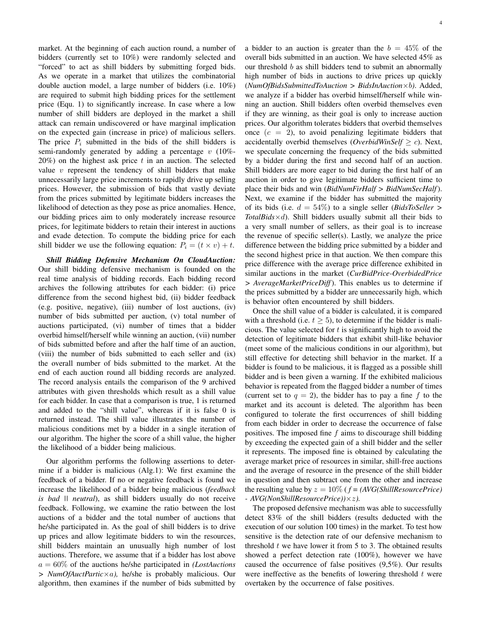market. At the beginning of each auction round, a number of bidders (currently set to 10%) were randomly selected and "forced" to act as shill bidders by submitting forged bids. As we operate in a market that utilizes the combinatorial double auction model, a large number of bidders (i.e. 10%) are required to submit high bidding prices for the settlement price (Equ. 1) to significantly increase. In case where a low number of shill bidders are deployed in the market a shill attack can remain undiscovered or have marginal implication on the expected gain (increase in price) of malicious sellers. The price  $P_i$  submitted in the bids of the shill bidders is semi-randomly generated by adding a percentage  $v(10\% 20\%$ ) on the highest ask price t in an auction. The selected value  $v$  represent the tendency of shill bidders that make unnecessarily large price increments to rapidly drive up selling prices. However, the submission of bids that vastly deviate from the prices submitted by legitimate bidders increases the likelihood of detection as they pose as price anomalies. Hence, our bidding prices aim to only moderately increase resource prices, for legitimate bidders to retain their interest in auctions and evade detection. To compute the bidding price for each shill bidder we use the following equation:  $P_i = (t \times v) + t$ .

*Shill Bidding Defensive Mechanism On CloudAuction:* Our shill bidding defensive mechanism is founded on the real time analysis of bidding records. Each bidding record archives the following attributes for each bidder: (i) price difference from the second highest bid, (ii) bidder feedback (e.g. positive, negative), (iii) number of lost auctions, (iv) number of bids submitted per auction, (v) total number of auctions participated, (vi) number of times that a bidder overbid himself/herself while winning an auction, (vii) number of bids submitted before and after the half time of an auction, (viii) the number of bids submitted to each seller and (ix) the overall number of bids submitted to the market. At the end of each auction round all bidding records are analyzed. The record analysis entails the comparison of the 9 archived attributes with given thresholds which result as a shill value for each bidder. In case that a comparison is true, 1 is returned and added to the "shill value", whereas if it is false 0 is returned instead. The shill value illustrates the number of malicious conditions met by a bidder in a single iteration of our algorithm. The higher the score of a shill value, the higher the likelihood of a bidder being malicious.

Our algorithm performs the following assertions to determine if a bidder is malicious (Alg.1): We first examine the feedback of a bidder. If no or negative feedback is found we increase the likelihood of a bidder being malicious (*feedback is bad || neutral*), as shill bidders usually do not receive feedback. Following, we examine the ratio between the lost auctions of a bidder and the total number of auctions that he/she participated in. As the goal of shill bidders is to drive up prices and allow legitimate bidders to win the resources, shill bidders maintain an unusually high number of lost auctions. Therefore, we assume that if a bidder has lost above a = 60% of the auctions he/she participated in *(LostAuctions > NumOfAuctPartic*×a*),* he/she is probably malicious. Our algorithm, then examines if the number of bids submitted by

a bidder to an auction is greater than the  $b = 45\%$  of the overall bids submitted in an auction. We have selected 45% as our threshold  $b$  as shill bidders tend to submit an abnormally high number of bids in auctions to drive prices up quickly (*NumOfBidsSubmittedToAuction > BidsInAuction*×b*)*. Added, we analyze if a bidder has overbid himself/herself while winning an auction. Shill bidders often overbid themselves even if they are winning, as their goal is only to increase auction prices. Our algorithm tolerates bidders that overbid themselves once  $(c = 2)$ , to avoid penalizing legitimate bidders that accidentally overbid themselves (*OverbidWinSelf*  $\geq c$ ). Next, we speculate concerning the frequency of the bids submitted by a bidder during the first and second half of an auction. Shill bidders are more eager to bid during the first half of an auction in order to give legitimate bidders sufficient time to place their bids and win (*BidNumFirHalf > BidNumSecHalf*). Next, we examine if the bidder has submitted the majority of its bids (i.e. d = 54%) to a single seller (*BidsToSeller > TotalBids* $\times$ *d*). Shill bidders usually submit all their bids to a very small number of sellers, as their goal is to increase the revenue of specific seller(s). Lastly, we analyze the price difference between the bidding price submitted by a bidder and the second highest price in that auction. We then compare this price difference with the average price difference exhibited in similar auctions in the market (*CurBidPrice-OverbidedPrice > AverageMarketPriceDiff*). This enables us to determine if the prices submitted by a bidder are unnecessarily high, which is behavior often encountered by shill bidders.

Once the shill value of a bidder is calculated, it is compared with a threshold (i.e.  $t \geq 5$ ), to determine if the bidder is malicious. The value selected for  $t$  is significantly high to avoid the detection of legitimate bidders that exhibit shill-like behavior (meet some of the malicious conditions in our algorithm), but still effective for detecting shill behavior in the market. If a bidder is found to be malicious, it is flagged as a possible shill bidder and is been given a warning. If the exhibited malicious behavior is repeated from the flagged bidder a number of times (current set to  $q = 2$ ), the bidder has to pay a fine f to the market and its account is deleted. The algorithm has been configured to tolerate the first occurrences of shill bidding from each bidder in order to decrease the occurrence of false positives. The imposed fine  $f$  aims to discourage shill bidding by exceeding the expected gain of a shill bidder and the seller it represents. The imposed fine is obtained by calculating the average market price of resources in similar, shill-free auctions and the average of resource in the presence of the shill bidder in question and then subtract one from the other and increase the resulting value by  $z = 10\%$  ( $f = (AVG(ShillResourcePrice))$ ) *- AVG(NonShillResourcePrice))*×z*).*

The proposed defensive mechanism was able to successfully detect 83% of the shill bidders (results deducted with the execution of our solution 100 times) in the market. To test how sensitive is the detection rate of our defensive mechanism to threshold  $t$  we have lower it from  $5$  to  $3$ . The obtained results showed a perfect detection rate (100%), however we have caused the occurrence of false positives (9,5%). Our results were ineffective as the benefits of lowering threshold  $t$  were overtaken by the occurrence of false positives.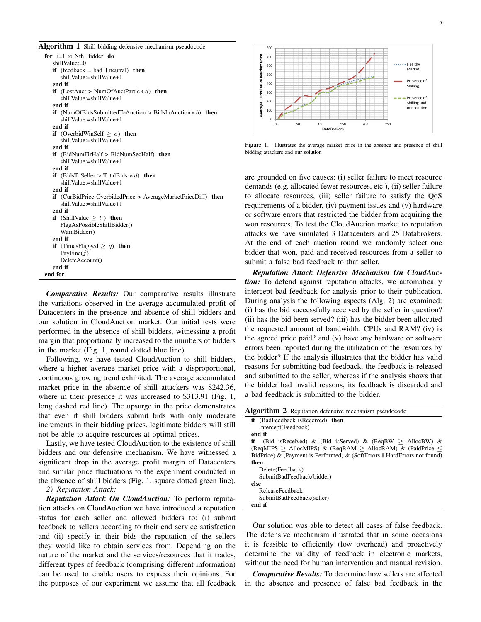Algorithm 1 Shill bidding defensive mechanism pseudocode

| $\mathbf{r}$ $\mathbf{r}$ and $\mathbf{r}$ and $\mathbf{r}$ and $\mathbf{r}$ are $\mathbf{r}$ and $\mathbf{r}$ and $\mathbf{r}$ are $\mathbf{r}$ |
|--------------------------------------------------------------------------------------------------------------------------------------------------|
| for $i=1$ to Nth Bidder do                                                                                                                       |
| shillValue:=0                                                                                                                                    |
| <b>if</b> (feedback = bad $\parallel$ neutral) <b>then</b>                                                                                       |
| shillValue:=shillValue+1                                                                                                                         |
| end if                                                                                                                                           |
| <b>if</b> (LostAuct > NumOfAuctPartic $* a$ ) <b>then</b>                                                                                        |
| shillValue:=shillValue+1                                                                                                                         |
| end if                                                                                                                                           |
| <b>if</b> (NumOfBidsSubmittedToAuction > BidsInAuction $* b$ ) <b>then</b>                                                                       |
| shillValue:=shillValue+1                                                                                                                         |
| end if                                                                                                                                           |
| <b>if</b> (OverbidWinSelf $\geq c$ ) <b>then</b>                                                                                                 |
| shillValue:=shillValue+1                                                                                                                         |
| end if                                                                                                                                           |
| <b>if</b> (BidNumFirHalf > BidNumSecHalf) <b>then</b>                                                                                            |
| shillValue:=shillValue+1                                                                                                                         |
| end if                                                                                                                                           |
| <b>if</b> (BidsToSeller > TotalBids $*d$ ) <b>then</b><br>shillValue:=shillValue+1                                                               |
| end if                                                                                                                                           |
| <b>if</b> $(CurBidPrice-OverbidedPrice > AverageMarketPriceDiff)$ then                                                                           |
| shillValue:=shillValue+1                                                                                                                         |
| end if                                                                                                                                           |
| <b>if</b> (ShillValue $\geq t$ ) <b>then</b>                                                                                                     |
| FlagAsPossibleShillBidder()                                                                                                                      |
| WarnBidder()                                                                                                                                     |
| end if                                                                                                                                           |
| <b>if</b> (TimesFlagged $\geq q$ ) then                                                                                                          |
| PayFine $(f)$                                                                                                                                    |
| DeleteAccount()                                                                                                                                  |
| end if                                                                                                                                           |
| end for                                                                                                                                          |
|                                                                                                                                                  |

*Comparative Results:* Our comparative results illustrate the variations observed in the average accumulated profit of Datacenters in the presence and absence of shill bidders and our solution in CloudAuction market. Our initial tests were performed in the absence of shill bidders, witnessing a profit margin that proportionally increased to the numbers of bidders in the market (Fig. 1, round dotted blue line).

Following, we have tested CloudAuction to shill bidders, where a higher average market price with a disproportional, continuous growing trend exhibited. The average accumulated market price in the absence of shill attackers was \$242.36, where in their presence it was increased to \$313.91 (Fig. 1, long dashed red line). The upsurge in the price demonstrates that even if shill bidders submit bids with only moderate increments in their bidding prices, legitimate bidders will still not be able to acquire resources at optimal prices.

Lastly, we have tested CloudAuction to the existence of shill bidders and our defensive mechanism. We have witnessed a significant drop in the average profit margin of Datacenters and similar price fluctuations to the experiment conducted in the absence of shill bidders (Fig. 1, square dotted green line). *2) Reputation Attack:*

*Reputation Attack On CloudAuction:* To perform reputation attacks on CloudAuction we have introduced a reputation status for each seller and allowed bidders to: (i) submit feedback to sellers according to their end service satisfaction and (ii) specify in their bids the reputation of the sellers they would like to obtain services from. Depending on the nature of the market and the services/resources that it trades, different types of feedback (comprising different information) can be used to enable users to express their opinions. For the purposes of our experiment we assume that all feedback



Figure 1. Illustrates the average market price in the absence and presence of shill bidding attackers and our solution

are grounded on five causes: (i) seller failure to meet resource demands (e.g. allocated fewer resources, etc.), (ii) seller failure to allocate resources, (iii) seller failure to satisfy the QoS requirements of a bidder, (iv) payment issues and (v) hardware or software errors that restricted the bidder from acquiring the won resources. To test the CloudAuction market to reputation attacks we have simulated 3 Datacenters and 25 Databrokers. At the end of each auction round we randomly select one bidder that won, paid and received resources from a seller to submit a false bad feedback to that seller.

*Reputation Attack Defensive Mechanism On CloudAuction:* To defend against reputation attacks, we automatically intercept bad feedback for analysis prior to their publication. During analysis the following aspects (Alg. 2) are examined: (i) has the bid successfully received by the seller in question? (ii) has the bid been served? (iii) has the bidder been allocated the requested amount of bandwidth, CPUs and RAM? (iv) is the agreed price paid? and (v) have any hardware or software errors been reported during the utilization of the resources by the bidder? If the analysis illustrates that the bidder has valid reasons for submitting bad feedback, the feedback is released and submitted to the seller, whereas if the analysis shows that the bidder had invalid reasons, its feedback is discarded and a bad feedback is submitted to the bidder.

| <b>Algorithm 2</b> Reputation defensive mechanism pseudocode                       |
|------------------------------------------------------------------------------------|
| <b>if</b> (BadFeedback is Received) <b>then</b>                                    |
| Intercept(Feedback)                                                                |
| end if                                                                             |
| if<br>(Bid is Received) & (Bid is Served) & (ReqBW $>$ AllocBW) &                  |
| (ReqMIPS > AllocMIPS) & (ReqRAM > AllocRAM) & (PaidPrice $\leq$                    |
| BidPrice) & (Payment is Performed) & (SoftErrors $\parallel$ HardErrors not found) |
| then                                                                               |
| Delete(Feedback)                                                                   |
| SubmitBadFeedback(bidder)                                                          |
| else                                                                               |
| <b>ReleaseFeedback</b>                                                             |
| SubmitBadFeedback(seller)                                                          |
| end if                                                                             |

Our solution was able to detect all cases of false feedback. The defensive mechanism illustrated that in some occasions it is feasible to efficiently (low overhead) and proactively determine the validity of feedback in electronic markets, without the need for human intervention and manual revision.

*Comparative Results:* To determine how sellers are affected in the absence and presence of false bad feedback in the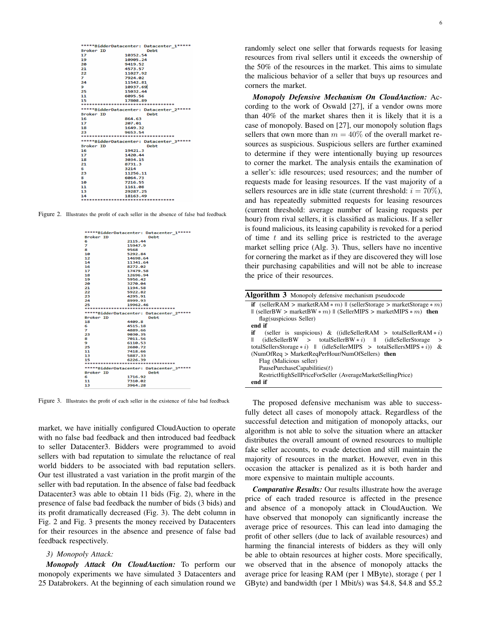|                  | *****BidderDatacenter: Datacenter 1***** |
|------------------|------------------------------------------|
| <b>Broker ID</b> | Debt                                     |
| 17               | 10352.54                                 |
| 19               | 10905.24                                 |
| 20               | 9419.52                                  |
| 21               | 4573.57                                  |
| 22               | 11027.92                                 |
| 7                | 7924.02                                  |
| 24               | 11542.81                                 |
| 9.               | 10937.69                                 |
| 25               | 15032.44                                 |
| 11               | 6095.56                                  |
| 15               | 17808.89                                 |
|                  | **********************************       |
|                  | *****BidderDatacenter: Datacenter 2***** |
| <b>Broker ID</b> | Debt                                     |
| 16               | 864.63                                   |
| 17               | 207.01                                   |
| 18               | 1649.32                                  |
| 23               | 9653.54                                  |
|                  |                                          |
|                  | *****BidderDatacenter: Datacenter_3***** |
| <b>Broker ID</b> | Debt                                     |
| 16               | 19421.3                                  |
| 17               | 1420.44                                  |
| 18               | 3034.15                                  |
| 21               | 8731.3                                   |
| 6                | 3214                                     |
| 23               | 11256.11                                 |
| 8                | 6064.73                                  |
| 10               | 7216.55                                  |
| 11               | 1161.08                                  |
| 13               | 29287.25                                 |
| 14               | 18163.49                                 |
|                  |                                          |

Figure 2. Illustrates the profit of each seller in the absence of false bad feedback

|           | *****BidderDatacenter: Datacenter 1***** |
|-----------|------------------------------------------|
| Broker ID | Debt                                     |
| 6         | 2115.44                                  |
| 7         | 15947.9                                  |
| 8         | 9568                                     |
| 10        | 5292.84                                  |
| 12        | 14698.64                                 |
| 14        | 11341.64                                 |
| 16        | 8272.02                                  |
| 17        | 17479.58                                 |
| 18        | 12696.94                                 |
| 19        | 5956.42                                  |
| 20        | 3270.04                                  |
| 21        | 1194.58                                  |
| 22        | 5922.82                                  |
| 23        | 4295.91                                  |
| 24        | 8999.93                                  |
| 25        | 19962.46                                 |
|           |                                          |
|           | *****BidderDatacenter: Datacenter 2***** |
| Broker ID | Debt                                     |
| 18        | 4409.8                                   |
| 6         | 4515.18                                  |
| 7         | 4889.66                                  |
| 23        | 9030.35                                  |
| 8         | 7011.56                                  |
| 9         | 6110.53                                  |
| 25<br>11  | 2680.72                                  |
| 13        | 7418.66<br>5887.33                       |
| 15        | 6226.39                                  |
|           |                                          |
|           | *****BidderDatacenter: Datacenter 3***** |
| Broker ID | Debt                                     |
| 6         | 1716.92                                  |
| 11        | 7310.02                                  |
| 13        |                                          |
|           | 3964.28                                  |

Figure 3. Illustrates the profit of each seller in the existence of false bad feedback

market, we have initially configured CloudAuction to operate with no false bad feedback and then introduced bad feedback to seller Datacenter3. Bidders were programmed to avoid sellers with bad reputation to simulate the reluctance of real world bidders to be associated with bad reputation sellers. Our test illustrated a vast variation in the profit margin of the seller with bad reputation. In the absence of false bad feedback Datacenter3 was able to obtain 11 bids (Fig. 2), where in the presence of false bad feedback the number of bids (3 bids) and its profit dramatically decreased (Fig. 3). The debt column in Fig. 2 and Fig. 3 presents the money received by Datacenters for their resources in the absence and presence of false bad feedback respectively.

#### *3) Monopoly Attack:*

*Monopoly Attack On CloudAuction:* To perform our monopoly experiments we have simulated 3 Datacenters and 25 Databrokers. At the beginning of each simulation round we

randomly select one seller that forwards requests for leasing resources from rival sellers until it exceeds the ownership of the 50% of the resources in the market. This aims to simulate the malicious behavior of a seller that buys up resources and corners the market.

*Monopoly Defensive Mechanism On CloudAuction:* According to the work of Oswald [27], if a vendor owns more than 40% of the market shares then it is likely that it is a case of monopoly. Based on [27], our monopoly solution flags sellers that own more than  $m = 40\%$  of the overall market resources as suspicious. Suspicious sellers are further examined to determine if they were intentionally buying up resources to corner the market. The analysis entails the examination of a seller's: idle resources; used resources; and the number of requests made for leasing resources. If the vast majority of a sellers resources are in idle state (current threshold:  $i = 70\%$ ), and has repeatedly submitted requests for leasing resources (current threshold: average number of leasing requests per hour) from rival sellers, it is classified as malicious. If a seller is found malicious, its leasing capability is revoked for a period of time  $t$  and its selling price is restricted to the average market selling price (Alg. 3). Thus, sellers have no incentive for cornering the market as if they are discovered they will lose their purchasing capabilities and will not be able to increase the price of their resources.

| Algorithm 3 Monopoly defensive mechanism pseudocode                                            |
|------------------------------------------------------------------------------------------------|
| <b>if</b> (sellerRAM > marketRAM $*$ m)    (sellerStorage > marketStorage $*$ m)               |
| $\parallel$ (sellerBW > marketBW $\ast$ m) $\parallel$ (SellerMIPS > marketMIPS $\ast$ m) then |
| flag(suspicious Seller)                                                                        |
| end if                                                                                         |
| if<br>(seller is suspicious) & ((idleSellerRAM > totalSellerRAM $* i$ )                        |
| $(idleSellerBW > totalSellerBW * i)    (idleSellerStorage)$<br>Ш<br>$\geq$                     |
| totalSellersStorage * i) $\parallel$ (idleSellerMIPS > totalSellersMIPS * i)) &                |
| (NumOfReq > MarketReqPerHour/NumOfSellers) then                                                |
| Flag (Malicious seller)                                                                        |
| PausePurchaseCapabilities $(t)$                                                                |
| RestrictHighSellPriceForSeller (AverageMarketSellingPrice)                                     |
| end if                                                                                         |

The proposed defensive mechanism was able to successfully detect all cases of monopoly attack. Regardless of the successful detection and mitigation of monopoly attacks, our algorithm is not able to solve the situation where an attacker distributes the overall amount of owned resources to multiple fake seller accounts, to evade detection and still maintain the majority of resources in the market. However, even in this occasion the attacker is penalized as it is both harder and more expensive to maintain multiple accounts.

*Comparative Results:* Our results illustrate how the average price of each traded resource is affected in the presence and absence of a monopoly attack in CloudAuction. We have observed that monopoly can significantly increase the average price of resources. This can lead into damaging the profit of other sellers (due to lack of available resources) and harming the financial interests of bidders as they will only be able to obtain resources at higher costs. More specifically, we observed that in the absence of monopoly attacks the average price for leasing RAM (per 1 MByte), storage ( per 1 GByte) and bandwidth (per 1 Mbit/s) was \$4.8, \$4.8 and \$5.2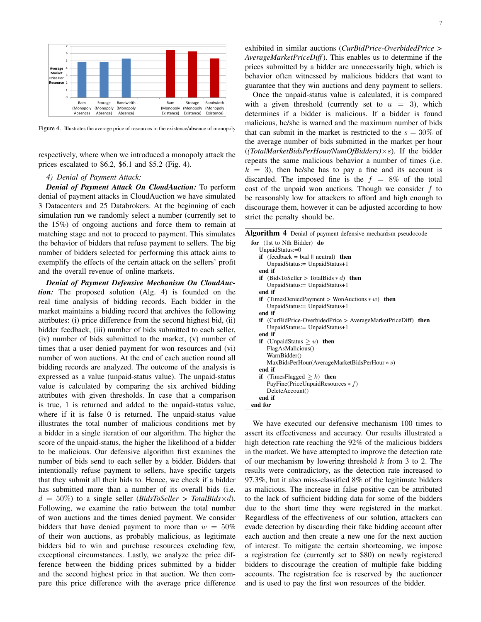

Figure 4. Illustrates the average price of resources in the existence/absence of monopoly

respectively, where when we introduced a monopoly attack the prices escalated to \$6.2, \$6.1 and \$5.2 (Fig. 4).

## *4) Denial of Payment Attack:*

*Denial of Payment Attack On CloudAuction:* To perform denial of payment attacks in CloudAuction we have simulated 3 Datacenters and 25 Databrokers. At the beginning of each simulation run we randomly select a number (currently set to the 15%) of ongoing auctions and force them to remain at matching stage and not to proceed to payment. This simulates the behavior of bidders that refuse payment to sellers. The big number of bidders selected for performing this attack aims to exemplify the effects of the certain attack on the sellers' profit and the overall revenue of online markets.

*Denial of Payment Defensive Mechanism On CloudAuction:* The proposed solution (Alg. 4) is founded on the real time analysis of bidding records. Each bidder in the market maintains a bidding record that archives the following attributes: (i) price difference from the second highest bid, (ii) bidder feedback, (iii) number of bids submitted to each seller, (iv) number of bids submitted to the market, (v) number of times that a user denied payment for won resources and (vi) number of won auctions. At the end of each auction round all bidding records are analyzed. The outcome of the analysis is expressed as a value (unpaid-status value). The unpaid-status value is calculated by comparing the six archived bidding attributes with given thresholds. In case that a comparison is true, 1 is returned and added to the unpaid-status value, where if it is false 0 is returned. The unpaid-status value illustrates the total number of malicious conditions met by a bidder in a single iteration of our algorithm. The higher the score of the unpaid-status, the higher the likelihood of a bidder to be malicious. Our defensive algorithm first examines the number of bids send to each seller by a bidder. Bidders that intentionally refuse payment to sellers, have specific targets that they submit all their bids to. Hence, we check if a bidder has submitted more than a number of its overall bids (i.e.  $d = 50\%$ ) to a single seller (*BidsToSeller* > TotalBids×d). Following, we examine the ratio between the total number of won auctions and the times denied payment. We consider bidders that have denied payment to more than  $w = 50\%$ of their won auctions, as probably malicious, as legitimate bidders bid to win and purchase resources excluding few, exceptional circumstances. Lastly, we analyze the price difference between the bidding prices submitted by a bidder and the second highest price in that auction. We then compare this price difference with the average price difference

exhibited in similar auctions (*CurBidPrice-OverbidedPrice > AverageMarketPriceDiff*). This enables us to determine if the prices submitted by a bidder are unnecessarily high, which is behavior often witnessed by malicious bidders that want to guarantee that they win auctions and deny payment to sellers.

Once the unpaid-status value is calculated, it is compared with a given threshold (currently set to  $u = 3$ ), which determines if a bidder is malicious. If a bidder is found malicious, he/she is warned and the maximum number of bids that can submit in the market is restricted to the  $s = 30\%$  of the average number of bids submitted in the market per hour (*(TotalMarketBidsPerHour/NumOfBidders)*×s). If the bidder repeats the same malicious behavior a number of times (i.e.  $k = 3$ , then he/she has to pay a fine and its account is discarded. The imposed fine is the  $f = 8\%$  of the total cost of the unpaid won auctions. Though we consider  $f$  to be reasonably low for attackers to afford and high enough to discourage them, however it can be adjusted according to how strict the penalty should be.

| Algorithm 4 Denial of payment defensive mechanism pseudocode           |
|------------------------------------------------------------------------|
| for (1st to Nth Bidder) do                                             |
| UnpaidStatus: $=0$                                                     |
| <b>if</b> (feedback = bad $\parallel$ neutral) <b>then</b>             |
| $UnpaidStatus := UnpaidStatus + 1$                                     |
| end if                                                                 |
| <b>if</b> (BidsToSeller > TotalBids $* d$ ) <b>then</b>                |
| $UnpaidStatus := UnpaidStatus + 1$                                     |
| end if                                                                 |
| <b>if</b> (TimesDeniedPayment > WonAuctions $* w$ ) <b>then</b>        |
| UnpaidStatus:= UnpaidStatus+1                                          |
| end if                                                                 |
| <b>if</b> $(CurBidPrice-OverbidedPrice > AverageMarketPriceDiff)$ then |
| UnpaidStatus:= UnpaidStatus+1                                          |
| end if                                                                 |
| <b>if</b> (UnpaidStatus $> u$ ) <b>then</b>                            |
| FlagAsMalicious()                                                      |
| WarnBidder()                                                           |
| $MaxBidsPerHour(Average MarketBidsPerHour * s)$                        |
| end if                                                                 |
| <b>if</b> (Times Flagged $\geq k$ ) then                               |
| PayFine(PriceUnpaidResources $*f$ )                                    |
| DeleteAccount()                                                        |
| end if                                                                 |
| end for                                                                |
|                                                                        |

We have executed our defensive mechanism 100 times to assert its effectiveness and accuracy. Our results illustrated a high detection rate reaching the 92% of the malicious bidders in the market. We have attempted to improve the detection rate of our mechanism by lowering threshold  $k$  from 3 to 2. The results were contradictory, as the detection rate increased to 97.3%, but it also miss-classified 8% of the legitimate bidders as malicious. The increase in false positive can be attributed to the lack of sufficient bidding data for some of the bidders due to the short time they were registered in the market. Regardless of the effectiveness of our solution, attackers can evade detection by discarding their fake bidding account after each auction and then create a new one for the next auction of interest. To mitigate the certain shortcoming, we impose a registration fee (currently set to \$80) on newly registered bidders to discourage the creation of multiple fake bidding accounts. The registration fee is reserved by the auctioneer and is used to pay the first won resources of the bidder.